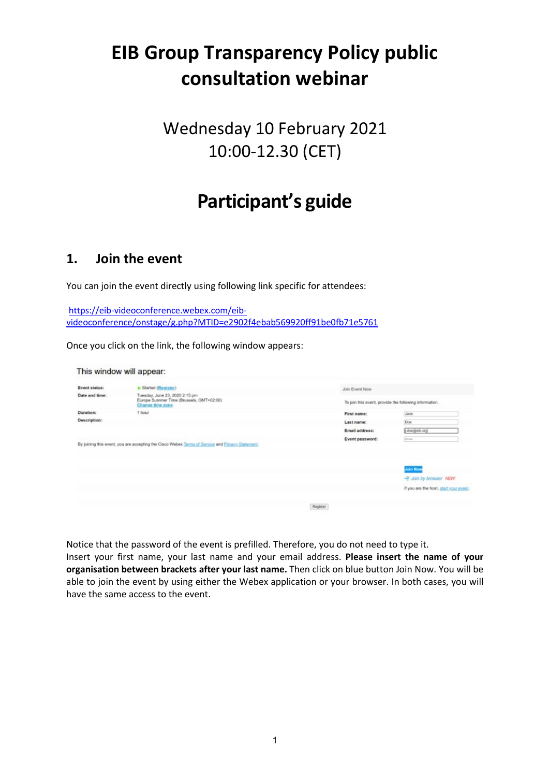# **EIB Group Transparency Policy public consultation webinar**

# Wednesday 10 February 2021 10:00-12.30 (CET)

# **Participant's guide**

### **1. Join the event**

You can join the event directly using following link specific for attendees:

[https://eib-videoconference.webex.com/eib](https://eib-videoconference.webex.com/eib-videoconference/onstage/g.php?MTID=e2902f4ebab569920ff91be0fb71e5761)[videoconference/onstage/g.php?MTID=e2902f4ebab569920ff91be0fb71e5761](https://eib-videoconference.webex.com/eib-videoconference/onstage/g.php?MTID=e2902f4ebab569920ff91be0fb71e5761)

Once you click on the link, the following window appears:

|                     | This window will appear:                                                                         |          |                 |                                                        |
|---------------------|--------------------------------------------------------------------------------------------------|----------|-----------------|--------------------------------------------------------|
| Event status:       | G Started (Register)                                                                             |          | Join Event Now  |                                                        |
| Date and time:      | Tuesday, June 23, 2020 2:15 pm<br>Europe Summer Time (Brussels, GMT+02:00)<br>Change time zone   |          |                 | To join this event, provide the following information. |
| Duration:           | 1 hour                                                                                           |          | First name:     | Jane                                                   |
| <b>Description:</b> |                                                                                                  |          | Last name:      | Doe                                                    |
|                     |                                                                                                  |          | Email address:  | Loogleb.org                                            |
|                     | By joining this event, you are accepting the Cisco Webex Terms of Service and Privacy Statement. |          | Event password: | 1444400                                                |
|                     |                                                                                                  |          |                 | <b>Join Now</b>                                        |
|                     |                                                                                                  |          |                 | - Join by browser NEW!                                 |
|                     |                                                                                                  |          |                 | If you are the host, start your event.                 |
|                     |                                                                                                  | Register |                 |                                                        |

Notice that the password of the event is prefilled. Therefore, you do not need to type it. Insert your first name, your last name and your email address. **Please insert the name of your organisation between brackets after your last name.** Then click on blue button Join Now. You will be able to join the event by using either the Webex application or your browser. In both cases, you will have the same access to the event.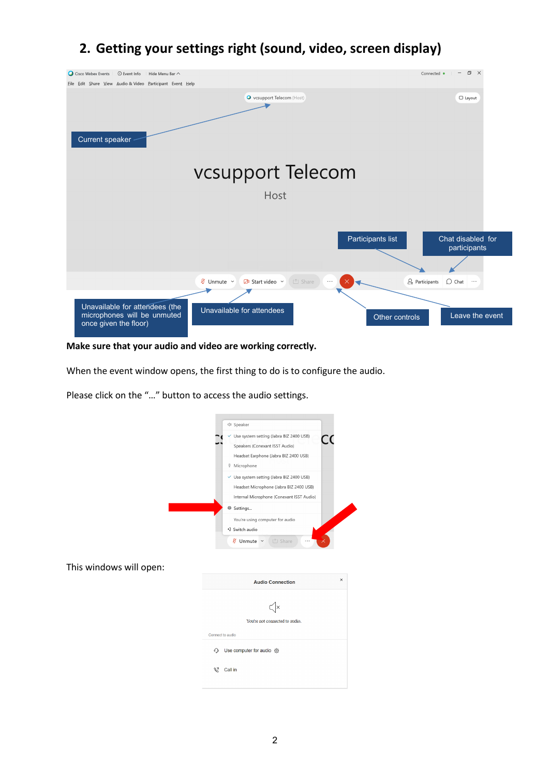## **2. Getting your settings right (sound, video, screen display)**



**Make sure that your audio and video are working correctly.**

When the event window opens, the first thing to do is to configure the audio.

Please click on the "…" button to access the audio settings.

| ∜ Speaker<br>Use system setting (Jabra BIZ 2400 USB)<br>✓<br>CC<br>Speakers (Conexant ISST Audio)<br>Headset Earphone (Jabra BIZ 2400 USB)<br><sup>0</sup> Microphone<br>√ Use system setting (Jabra BIZ 2400 USB)<br>Headset Microphone (Jabra BIZ 2400 USB)<br>Internal Microphone (Conexant ISST Audio)<br><sup>登</sup> Settings<br>You're using computer for audio<br>*2 Switch audio<br><b>Ø</b> Unmute ∨<br>① Share<br>$\times$<br><b>Audio Connection</b><br>$\times$<br>You're not connected to audio.<br>Connect to audio<br>Use computer for audio @<br>⊕<br>Ŋ<br>Call in |                         |  |
|-------------------------------------------------------------------------------------------------------------------------------------------------------------------------------------------------------------------------------------------------------------------------------------------------------------------------------------------------------------------------------------------------------------------------------------------------------------------------------------------------------------------------------------------------------------------------------------|-------------------------|--|
|                                                                                                                                                                                                                                                                                                                                                                                                                                                                                                                                                                                     |                         |  |
|                                                                                                                                                                                                                                                                                                                                                                                                                                                                                                                                                                                     |                         |  |
|                                                                                                                                                                                                                                                                                                                                                                                                                                                                                                                                                                                     |                         |  |
|                                                                                                                                                                                                                                                                                                                                                                                                                                                                                                                                                                                     |                         |  |
|                                                                                                                                                                                                                                                                                                                                                                                                                                                                                                                                                                                     |                         |  |
|                                                                                                                                                                                                                                                                                                                                                                                                                                                                                                                                                                                     |                         |  |
|                                                                                                                                                                                                                                                                                                                                                                                                                                                                                                                                                                                     |                         |  |
|                                                                                                                                                                                                                                                                                                                                                                                                                                                                                                                                                                                     |                         |  |
|                                                                                                                                                                                                                                                                                                                                                                                                                                                                                                                                                                                     |                         |  |
|                                                                                                                                                                                                                                                                                                                                                                                                                                                                                                                                                                                     | This windows will open: |  |
|                                                                                                                                                                                                                                                                                                                                                                                                                                                                                                                                                                                     |                         |  |
|                                                                                                                                                                                                                                                                                                                                                                                                                                                                                                                                                                                     |                         |  |
|                                                                                                                                                                                                                                                                                                                                                                                                                                                                                                                                                                                     |                         |  |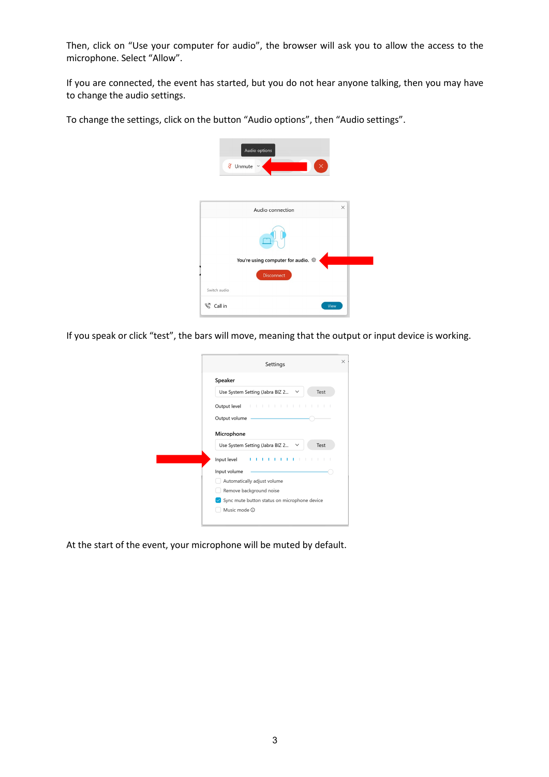Then, click on "Use your computer for audio", the browser will ask you to allow the access to the microphone. Select "Allow".

If you are connected, the event has started, but you do not hear anyone talking, then you may have to change the audio settings.

To change the settings, click on the button "Audio options", then "Audio settings".



If you speak or click "test", the bars will move, meaning that the output or input device is working.

| Settings                                                |
|---------------------------------------------------------|
| Speaker                                                 |
| Test<br>Use System Setting (Jabra BIZ 2<br>$\checkmark$ |
|                                                         |
| Output volume                                           |
| Microphone                                              |
| Test<br>Use System Setting (Jabra BIZ 2<br>$\checkmark$ |
| Input level<br>ı<br>- 1<br>ı<br>٠                       |
| Input volume                                            |
| Automatically adjust volume                             |
| Remove background noise                                 |
| ✔ Sync mute button status on microphone device          |
| Music mode (i)                                          |

At the start of the event, your microphone will be muted by default.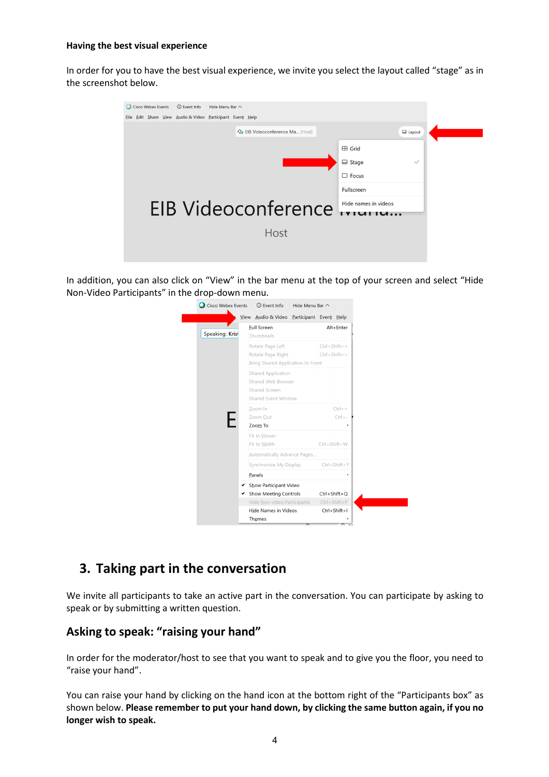#### **Having the best visual experience**

In order for you to have the best visual experience, we invite you select the layout called "stage" as in the screenshot below.



In addition, you can also click on "View" in the bar menu at the top of your screen and select "Hide Non-Video Participants" in the drop-down menu.



### **3. Taking part in the conversation**

We invite all participants to take an active part in the conversation. You can participate by asking to speak or by submitting a written question.

### **Asking to speak: "raising your hand"**

In order for the moderator/host to see that you want to speak and to give you the floor, you need to "raise your hand".

You can raise your hand by clicking on the hand icon at the bottom right of the "Participants box" as shown below. **Please remember to put your hand down, by clicking the same button again, if you no longer wish to speak.**